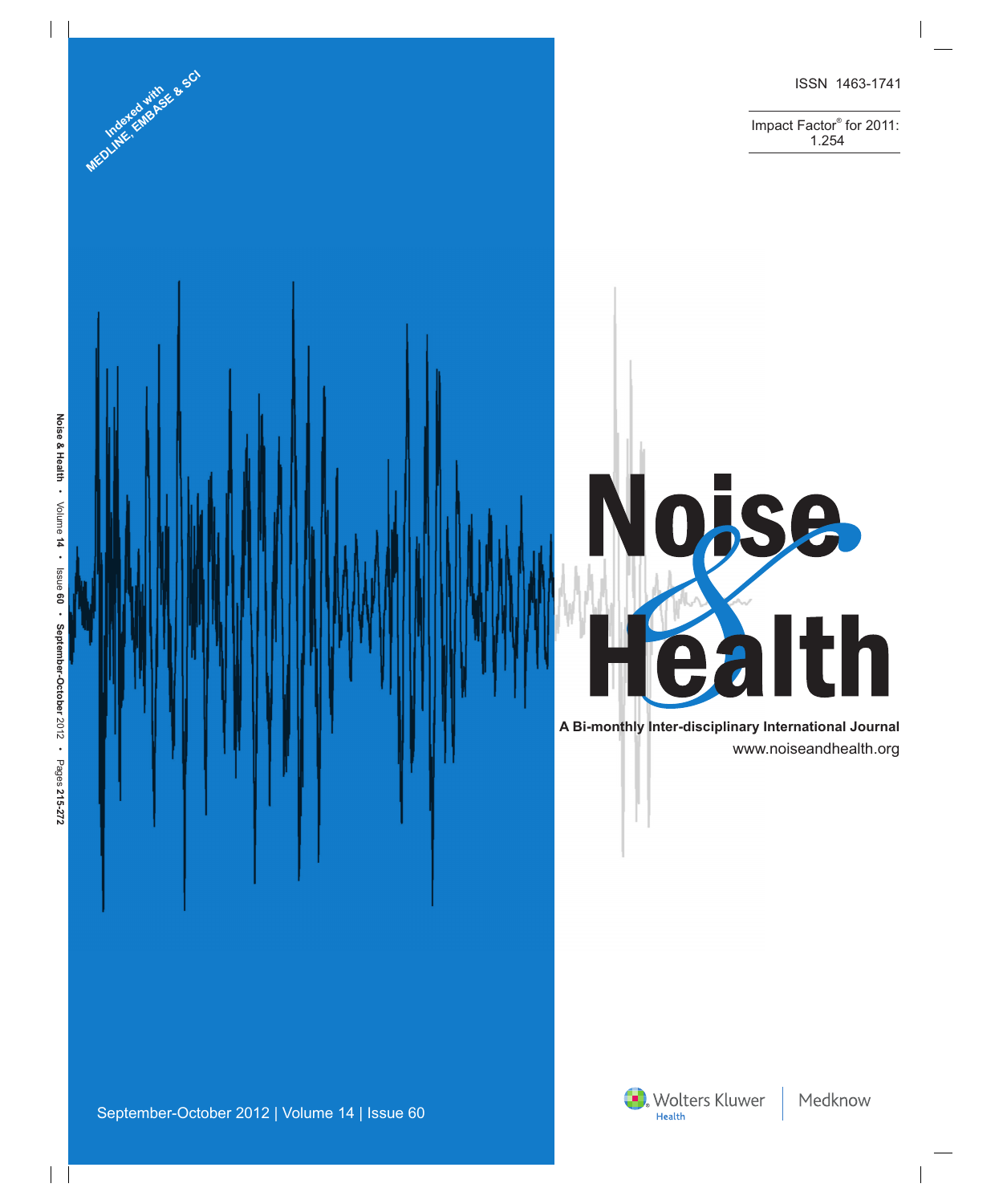

Impact Factor® for 2011: Indexed with contract of the contract of the contract of the contract of the contract of the contract of the contract of the contract of the contract of the contract of the contract of the contract of the contract of the c



 www.noiseandhealth.org **A Bi-monthly Inter-disciplinary International Journal**

Wolters Kluwer

**Mediated vitros & SC**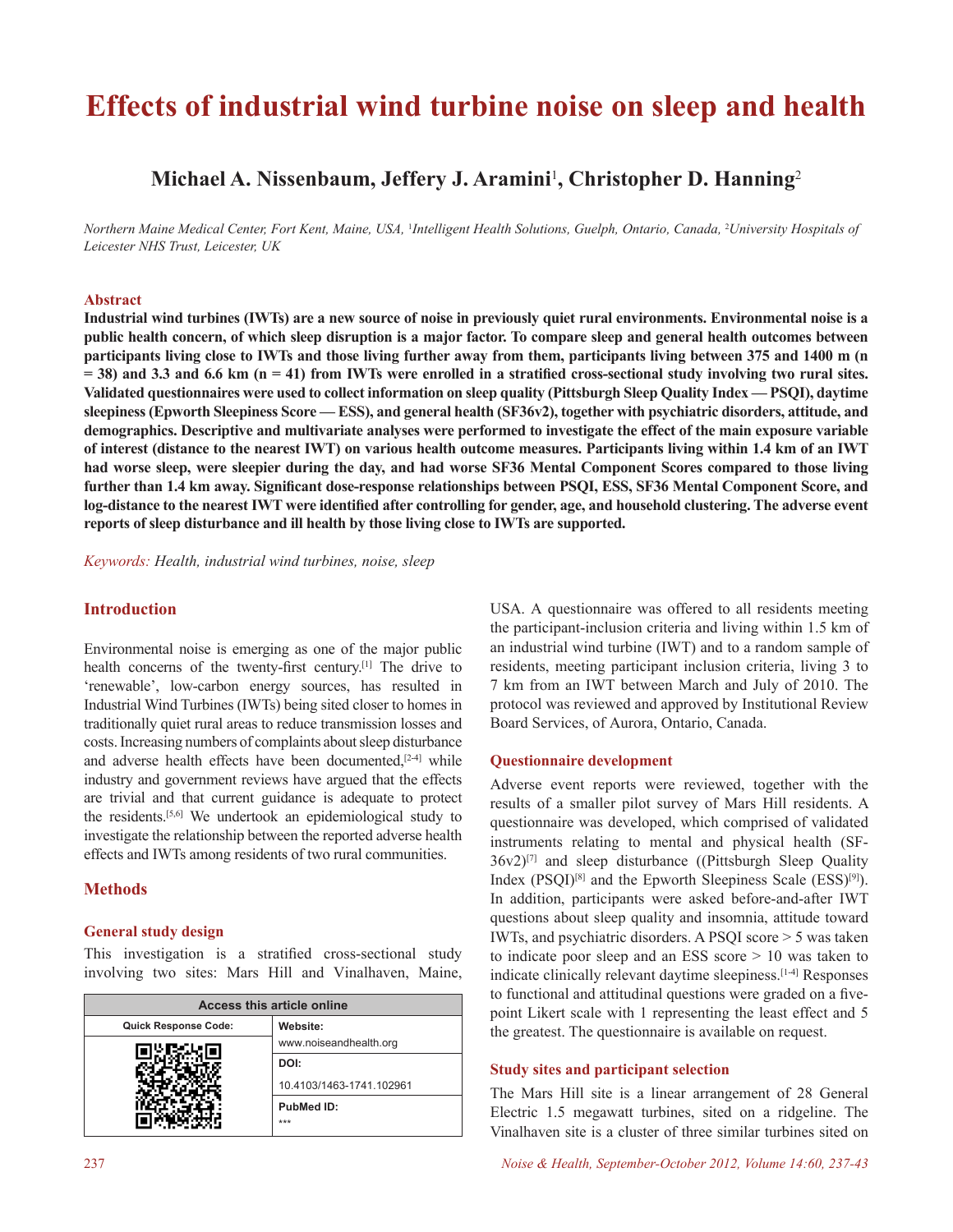# **Effects of industrial wind turbine noise on sleep and health**

# **Michael A. Nissenbaum, Jeffery J. Aramini**<sup>1</sup> **, Christopher D. Hanning**<sup>2</sup>

*Northern Maine Medical Center, Fort Kent, Maine, USA,* <sup>1</sup> *Intelligent Health Solutions, Guelph, Ontario, Canada,* <sup>2</sup> *University Hospitals of Leicester NHS Trust, Leicester, UK*

#### **Abstract**

**Industrial wind turbines (IWTs) are a new source of noise in previously quiet rural environments. Environmental noise is a public health concern, of which sleep disruption is a major factor. To compare sleep and general health outcomes between participants living close to IWTs and those living further away from them, participants living between 375 and 1400 m (n**   $=$  38) and 3.3 and 6.6 km  $(n = 41)$  from IWTs were enrolled in a stratified cross-sectional study involving two rural sites. **Validated questionnaires were used to collect information on sleep quality (Pittsburgh Sleep Quality Index — PSQI), daytime sleepiness (Epworth Sleepiness Score — ESS), and general health (SF36v2), together with psychiatric disorders, attitude, and demographics. Descriptive and multivariate analyses were performed to investigate the effect of the main exposure variable of interest (distance to the nearest IWT) on various health outcome measures. Participants living within 1.4 km of an IWT had worse sleep, were sleepier during the day, and had worse SF36 Mental Component Scores compared to those living further than 1.4 km away. Significant dose-response relationships between PSQI, ESS, SF36 Mental Component Score, and log-distance to the nearest IWT were identified after controlling for gender, age, and household clustering. The adverse event reports of sleep disturbance and ill health by those living close to IWTs are supported.** 

*Keywords: Health, industrial wind turbines, noise, sleep*

## **Introduction**

Environmental noise is emerging as one of the major public health concerns of the twenty-first century.<sup>[1]</sup> The drive to 'renewable', low-carbon energy sources, has resulted in Industrial Wind Turbines (IWTs) being sited closer to homes in traditionally quiet rural areas to reduce transmission losses and costs. Increasing numbers of complaints about sleep disturbance and adverse health effects have been documented, $[2-4]$  while industry and government reviews have argued that the effects are trivial and that current guidance is adequate to protect the residents.[5,6] We undertook an epidemiological study to investigate the relationship between the reported adverse health effects and IWTs among residents of two rural communities.

#### **Methods**

#### **General study design**

This investigation is a stratified cross-sectional study involving two sites: Mars Hill and Vinalhaven, Maine,

| Access this article online  |                          |  |  |
|-----------------------------|--------------------------|--|--|
| <b>Quick Response Code:</b> | Website:                 |  |  |
|                             | www.noiseandhealth.org   |  |  |
|                             | DOI:                     |  |  |
|                             | 10.4103/1463-1741.102961 |  |  |
|                             | PubMed ID:               |  |  |
|                             | ***                      |  |  |

USA. A questionnaire was offered to all residents meeting the participant-inclusion criteria and living within 1.5 km of an industrial wind turbine (IWT) and to a random sample of residents, meeting participant inclusion criteria, living 3 to 7 km from an IWT between March and July of 2010. The protocol was reviewed and approved by Institutional Review Board Services, of Aurora, Ontario, Canada.

#### **Questionnaire development**

Adverse event reports were reviewed, together with the results of a smaller pilot survey of Mars Hill residents. A questionnaire was developed, which comprised of validated instruments relating to mental and physical health (SF- $36v2$ <sup>[7]</sup> and sleep disturbance ((Pittsburgh Sleep Quality Index  $(PSQI)^{[8]}$  and the Epworth Sleepiness Scale  $(ESS)^{[9]}$ ). In addition, participants were asked before-and-after IWT questions about sleep quality and insomnia, attitude toward IWTs, and psychiatric disorders. A PSQI score > 5 was taken to indicate poor sleep and an ESS score > 10 was taken to indicate clinically relevant daytime sleepiness.<sup>[1-4]</sup> Responses to functional and attitudinal questions were graded on a fivepoint Likert scale with 1 representing the least effect and 5 the greatest. The questionnaire is available on request.

# **Study sites and participant selection**

The Mars Hill site is a linear arrangement of 28 General Electric 1.5 megawatt turbines, sited on a ridgeline. The Vinalhaven site is a cluster of three similar turbines sited on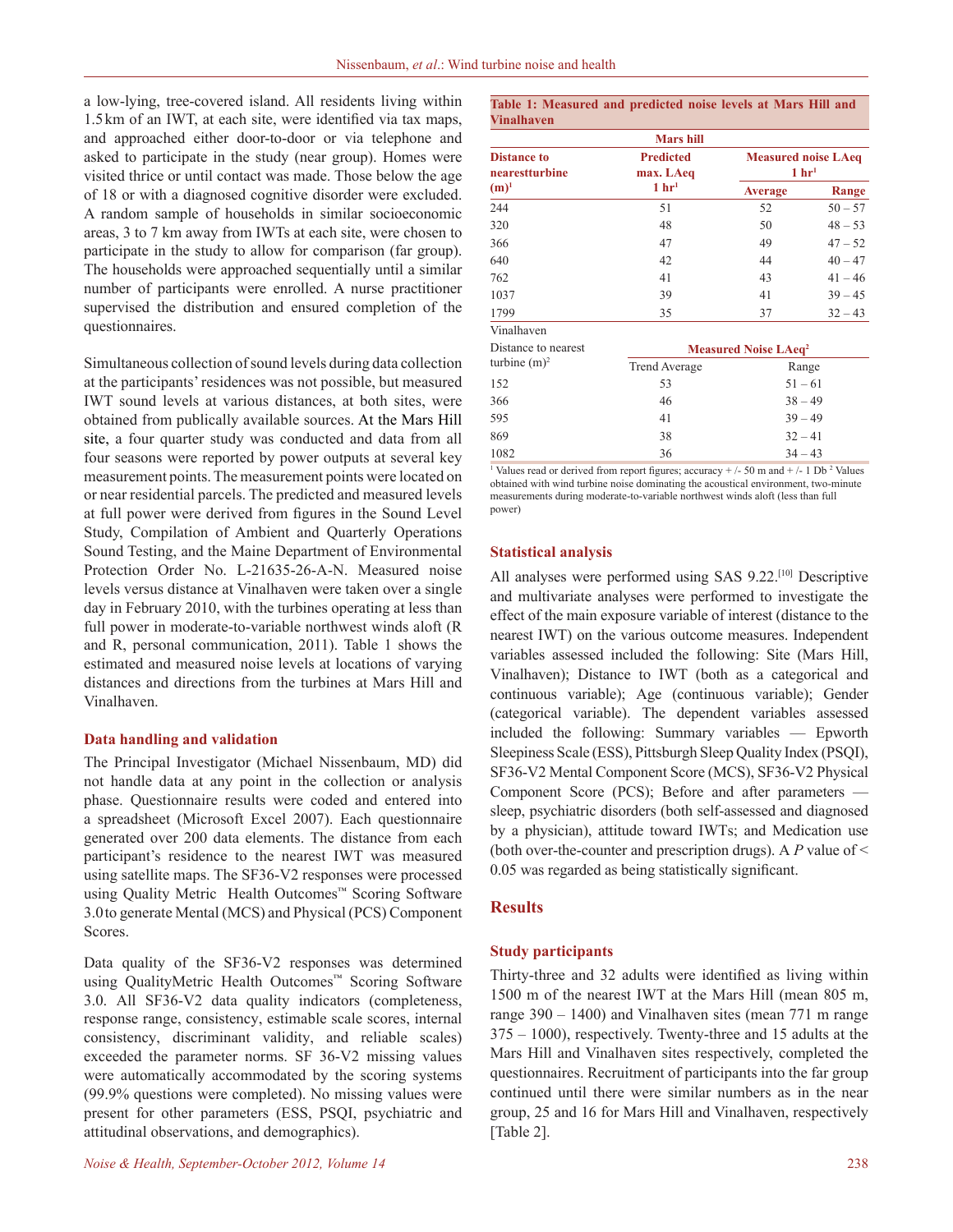a low-lying, tree-covered island. All residents living within 1.5km of an IWT, at each site, were identified via tax maps, and approached either door-to-door or via telephone and asked to participate in the study (near group). Homes were visited thrice or until contact was made. Those below the age of 18 or with a diagnosed cognitive disorder were excluded. A random sample of households in similar socioeconomic areas, 3 to 7 km away from IWTs at each site, were chosen to participate in the study to allow for comparison (far group). The households were approached sequentially until a similar number of participants were enrolled. A nurse practitioner supervised the distribution and ensured completion of the questionnaires.

Simultaneous collection of sound levels during data collection at the participants' residences was not possible, but measured IWT sound levels at various distances, at both sites, were obtained from publically available sources. At the Mars Hill site, a four quarter study was conducted and data from all four seasons were reported by power outputs at several key measurement points. The measurement points were located on or near residential parcels. The predicted and measured levels at full power were derived from figures in the Sound Level Study, Compilation of Ambient and Quarterly Operations Sound Testing, and the Maine Department of Environmental Protection Order No. L-21635-26-A-N. Measured noise levels versus distance at Vinalhaven were taken over a single day in February 2010, with the turbines operating at less than full power in moderate-to-variable northwest winds aloft (R and R, personal communication, 2011). Table 1 shows the estimated and measured noise levels at locations of varying distances and directions from the turbines at Mars Hill and Vinalhaven.

#### **Data handling and validation**

The Principal Investigator (Michael Nissenbaum, MD) did not handle data at any point in the collection or analysis phase. Questionnaire results were coded and entered into a spreadsheet (Microsoft Excel 2007). Each questionnaire generated over 200 data elements. The distance from each participant's residence to the nearest IWT was measured using satellite maps. The SF36-V2 responses were processed using Quality Metric Health Outcomes™ Scoring Software 3.0to generate Mental (MCS) and Physical (PCS) Component Scores.

Data quality of the SF36-V2 responses was determined using QualityMetric Health Outcomes™ Scoring Software 3.0. All SF36-V2 data quality indicators (completeness, response range, consistency, estimable scale scores, internal consistency, discriminant validity, and reliable scales) exceeded the parameter norms. SF 36-V2 missing values were automatically accommodated by the scoring systems (99.9% questions were completed). No missing values were present for other parameters (ESS, PSQI, psychiatric and attitudinal observations, and demographics).

| <b>Vinalhaven</b>                               |                                        |                                          |           |  |  |
|-------------------------------------------------|----------------------------------------|------------------------------------------|-----------|--|--|
|                                                 | <b>Mars</b> hill                       |                                          |           |  |  |
| <b>Distance to</b><br>nearestturbine<br>$(m)^1$ | <b>Predicted</b><br>max. LAeq          | <b>Measured noise LAeq</b><br>$1 \; hr1$ |           |  |  |
|                                                 | $1 \, \text{hr}^1$                     | <b>Average</b>                           | Range     |  |  |
| 244                                             | 51                                     | 52                                       | $50 - 57$ |  |  |
| 320                                             | 48                                     | 50<br>$48 - 53$                          |           |  |  |
| 366                                             | 47                                     | 49                                       | $47 - 52$ |  |  |
| 640                                             | 42                                     | 44                                       | $40 - 47$ |  |  |
| 762                                             | 41                                     | 43                                       | $41 - 46$ |  |  |
| 1037                                            | 39                                     | 41                                       | $39 - 45$ |  |  |
| 1799                                            | 35                                     | 37                                       | $32 - 43$ |  |  |
| Vinalhaven                                      |                                        |                                          |           |  |  |
| Distance to nearest                             | <b>Measured Noise LAeq<sup>2</sup></b> |                                          |           |  |  |
| turbine $(m)^2$                                 | <b>Trend Average</b>                   | Range                                    |           |  |  |
| 152                                             | 53                                     | $51 - 61$                                |           |  |  |
| 366                                             | 46                                     | $38 - 49$                                |           |  |  |
| 595                                             | 41                                     | $39 - 49$                                |           |  |  |
| 869                                             | 38                                     | $32 - 41$                                |           |  |  |
| 1082                                            | 36                                     | $34 - 43$                                |           |  |  |
| $1 - 1 - 1$                                     |                                        |                                          |           |  |  |

**Table 1: Measured and predicted noise levels at Mars Hill and** 

<sup>1</sup> Values read or derived from report figures; accuracy  $+/-50$  m and  $+/-1$  Db<sup>2</sup> Values obtained with wind turbine noise dominating the acoustical environment, two-minute measurements during moderate-to-variable northwest winds aloft (less than full power)

#### **Statistical analysis**

All analyses were performed using SAS 9.22.[10] Descriptive and multivariate analyses were performed to investigate the effect of the main exposure variable of interest (distance to the nearest IWT) on the various outcome measures. Independent variables assessed included the following: Site (Mars Hill, Vinalhaven); Distance to IWT (both as a categorical and continuous variable); Age (continuous variable); Gender (categorical variable). The dependent variables assessed included the following: Summary variables — Epworth Sleepiness Scale (ESS), Pittsburgh Sleep Quality Index (PSQI), SF36-V2 Mental Component Score (MCS), SF36-V2 Physical Component Score (PCS); Before and after parameters sleep, psychiatric disorders (both self-assessed and diagnosed by a physician), attitude toward IWTs; and Medication use (both over-the-counter and prescription drugs). A *P* value of < 0.05 was regarded as being statistically significant.

#### **Results**

#### **Study participants**

Thirty-three and 32 adults were identified as living within 1500 m of the nearest IWT at the Mars Hill (mean 805 m, range 390 – 1400) and Vinalhaven sites (mean 771 m range 375 – 1000), respectively. Twenty-three and 15 adults at the Mars Hill and Vinalhaven sites respectively, completed the questionnaires. Recruitment of participants into the far group continued until there were similar numbers as in the near group, 25 and 16 for Mars Hill and Vinalhaven, respectively [Table 2].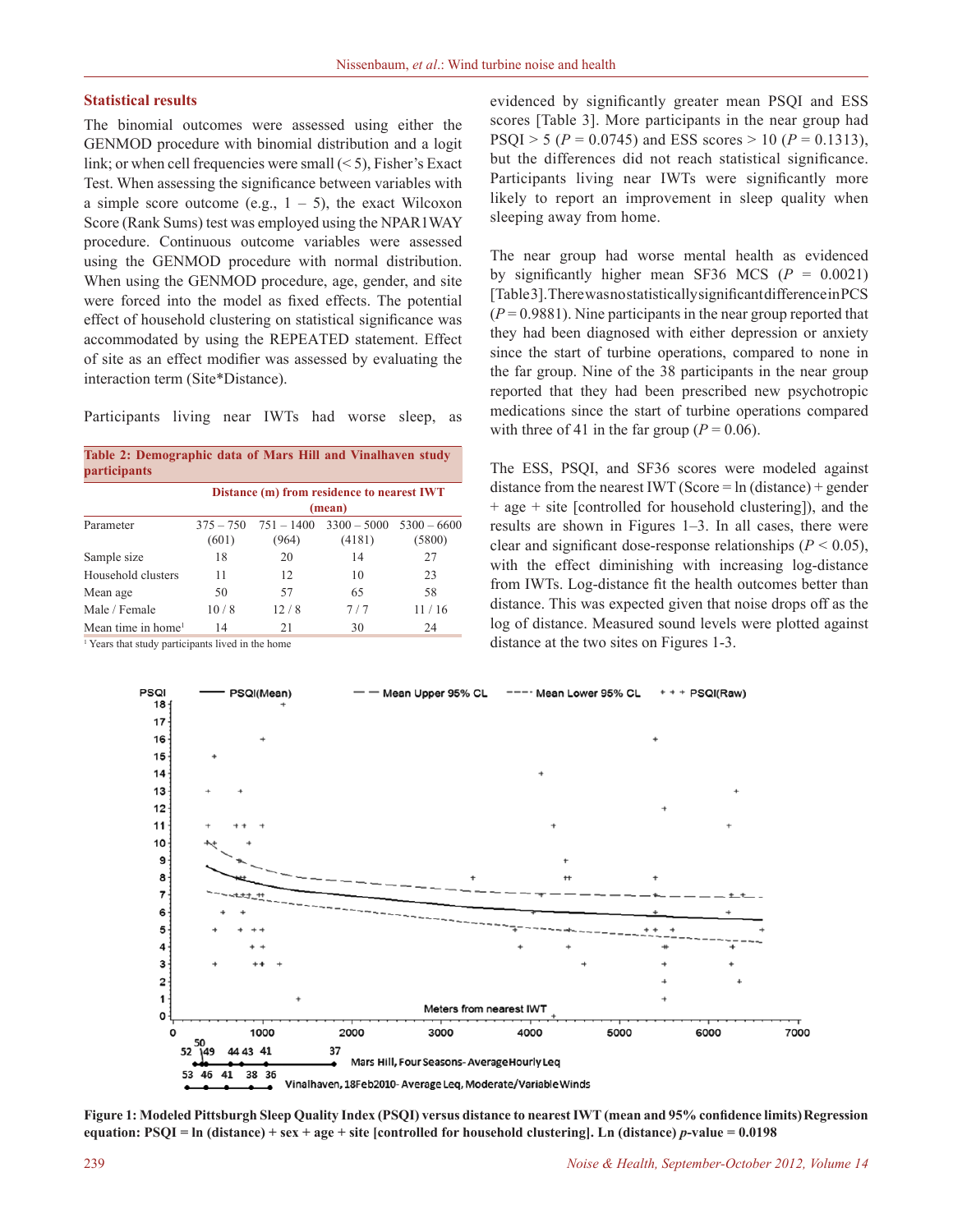#### **Statistical results**

The binomial outcomes were assessed using either the GENMOD procedure with binomial distribution and a logit link; or when cell frequencies were small  $(< 5)$ , Fisher's Exact Test. When assessing the significance between variables with a simple score outcome (e.g.,  $1 - 5$ ), the exact Wilcoxon Score (Rank Sums) test was employed using the NPAR1WAY procedure. Continuous outcome variables were assessed using the GENMOD procedure with normal distribution. When using the GENMOD procedure, age, gender, and site were forced into the model as fixed effects. The potential effect of household clustering on statistical significance was accommodated by using the REPEATED statement. Effect of site as an effect modifier was assessed by evaluating the interaction term (Site\*Distance).

Participants living near IWTs had worse sleep, as

| Table 2: Demographic data of Mars Hill and Vinalhaven study<br><i>participants</i> |                                                      |                       |                         |                         |  |  |  |
|------------------------------------------------------------------------------------|------------------------------------------------------|-----------------------|-------------------------|-------------------------|--|--|--|
|                                                                                    | Distance (m) from residence to nearest IWT<br>(mean) |                       |                         |                         |  |  |  |
| Parameter                                                                          | $375 - 750$<br>(601)                                 | $751 - 1400$<br>(964) | $3300 - 5000$<br>(4181) | $5300 - 6600$<br>(5800) |  |  |  |
| Sample size                                                                        | 18                                                   | 20                    | 14                      | 27                      |  |  |  |
| Household clusters                                                                 | 11                                                   | 12                    | 10                      | 23                      |  |  |  |
| Mean age                                                                           | 50                                                   | 57                    | 65                      | 58                      |  |  |  |
| Male / Female                                                                      | 10/8                                                 | 12/8                  | 7/7                     | 11/16                   |  |  |  |
| Mean time in home <sup>1</sup>                                                     | 14                                                   | 21                    | 30                      | 24                      |  |  |  |

<sup>1</sup> Years that study participants lived in the home

evidenced by significantly greater mean PSQI and ESS scores [Table 3]. More participants in the near group had PSQI > 5 ( $P = 0.0745$ ) and ESS scores > 10 ( $P = 0.1313$ ), but the differences did not reach statistical significance. Participants living near IWTs were significantly more likely to report an improvement in sleep quality when sleeping away from home.

The near group had worse mental health as evidenced by significantly higher mean SF36 MCS  $(P = 0.0021)$ [Table 3]. There was no statistically significant difference in PCS  $(P = 0.9881)$ . Nine participants in the near group reported that they had been diagnosed with either depression or anxiety since the start of turbine operations, compared to none in the far group. Nine of the 38 participants in the near group reported that they had been prescribed new psychotropic medications since the start of turbine operations compared with three of 41 in the far group ( $P = 0.06$ ).

The ESS, PSQI, and SF36 scores were modeled against distance from the nearest IWT (Score =  $ln$  (distance) + gender + age + site [controlled for household clustering]), and the results are shown in Figures 1–3. In all cases, there were clear and significant dose-response relationships ( $P \le 0.05$ ), with the effect diminishing with increasing log-distance from IWTs. Log-distance fit the health outcomes better than distance. This was expected given that noise drops off as the log of distance. Measured sound levels were plotted against distance at the two sites on Figures 1-3.



**Figure 1: Modeled Pittsburgh Sleep Quality Index (PSQI) versus distance to nearest IWT (mean and 95% confidence limits)Regression equation: PSQI = ln (distance) + sex + age + site [controlled for household clustering]. Ln (distance)** *p***-value = 0.0198**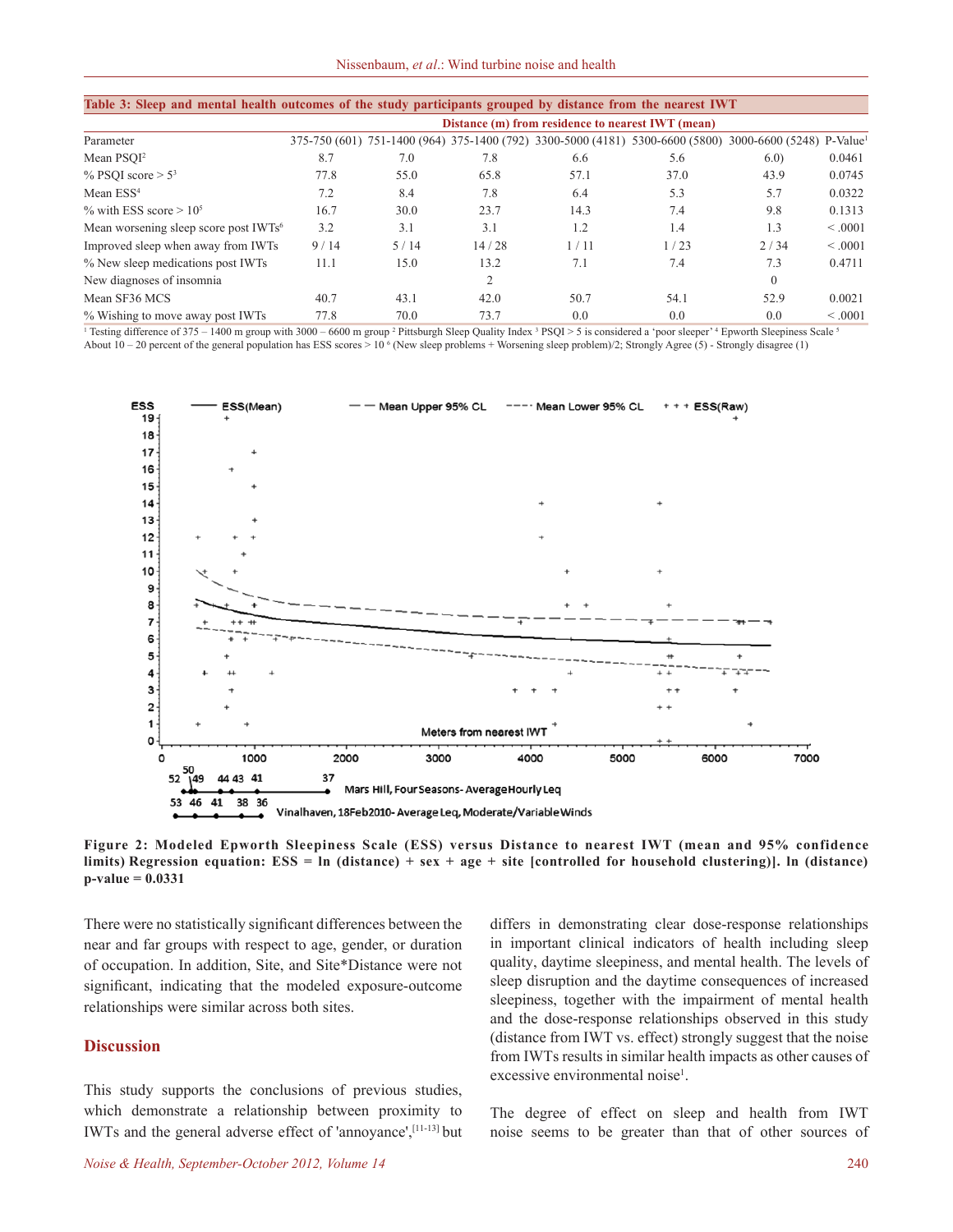| Table 3: Sleep and mental health outcomes of the study participants grouped by distance from the nearest IWT |                                                   |      |                |                                                                                                                     |      |          |         |
|--------------------------------------------------------------------------------------------------------------|---------------------------------------------------|------|----------------|---------------------------------------------------------------------------------------------------------------------|------|----------|---------|
|                                                                                                              | Distance (m) from residence to nearest IWT (mean) |      |                |                                                                                                                     |      |          |         |
| Parameter                                                                                                    |                                                   |      |                | 375-750 (601) 751-1400 (964) 375-1400 (792) 3300-5000 (4181) 5300-6600 (5800) 3000-6600 (5248) P-Value <sup>1</sup> |      |          |         |
| Mean PSOI <sup>2</sup>                                                                                       | 8.7                                               | 7.0  | 7.8            | 6.6                                                                                                                 | 5.6  | 6.0      | 0.0461  |
| % PSOI score $> 53$                                                                                          | 77.8                                              | 55.0 | 65.8           | 57.1                                                                                                                | 37.0 | 43.9     | 0.0745  |
| Mean ESS <sup>4</sup>                                                                                        | 7.2                                               | 8.4  | 7.8            | 6.4                                                                                                                 | 5.3  | 5.7      | 0.0322  |
| % with ESS score $> 10^5$                                                                                    | 16.7                                              | 30.0 | 23.7           | 14.3                                                                                                                | 7.4  | 9.8      | 0.1313  |
| Mean worsening sleep score post IWTs <sup>6</sup>                                                            | 3.2                                               | 3.1  | 3.1            | 1.2                                                                                                                 | 1.4  | 1.3      | < 0.001 |
| Improved sleep when away from IWTs                                                                           | 9/14                                              | 5/14 | 14/28          | 1/11                                                                                                                | 1/23 | 2/34     | < 0.001 |
| % New sleep medications post IWTs                                                                            | 11.1                                              | 15.0 | 13.2           | 7.1                                                                                                                 | 7.4  | 7.3      | 0.4711  |
| New diagnoses of insomnia                                                                                    |                                                   |      | $\overline{2}$ |                                                                                                                     |      | $\theta$ |         |
| Mean SF36 MCS                                                                                                | 40.7                                              | 43.1 | 42.0           | 50.7                                                                                                                | 54.1 | 52.9     | 0.0021  |
| % Wishing to move away post IWTs                                                                             | 77.8                                              | 70.0 | 73.7           | 0.0                                                                                                                 | 0.0  | 0.0      | < 0.001 |

<sup>1</sup> Testing difference of 375 – 1400 m group with 3000 – 6600 m group <sup>2</sup> Pittsburgh Sleep Quality Index  $3$  PSQI > 5 is considered a 'poor sleeper'<sup>4</sup> Epworth Sleepiness Scale  $3$ About  $10-20$  percent of the general population has ESS scores >  $10<sup>6</sup>$  (New sleep problems + Worsening sleep problem)/2; Strongly Agree (5) - Strongly disagree (1)



**Figure 2: Modeled Epworth Sleepiness Scale (ESS) versus Distance to nearest IWT (mean and 95% confidence limits) Regression equation: ESS = ln (distance) + sex + age + site [controlled for household clustering)]. ln (distance) p-value = 0.0331**

There were no statistically significant differences between the near and far groups with respect to age, gender, or duration of occupation. In addition, Site, and Site\*Distance were not significant, indicating that the modeled exposure-outcome relationships were similar across both sites.

#### **Discussion**

This study supports the conclusions of previous studies, which demonstrate a relationship between proximity to IWTs and the general adverse effect of 'annoyance',[11-13] but differs in demonstrating clear dose-response relationships in important clinical indicators of health including sleep quality, daytime sleepiness, and mental health. The levels of sleep disruption and the daytime consequences of increased sleepiness, together with the impairment of mental health and the dose-response relationships observed in this study (distance from IWT vs. effect) strongly suggest that the noise from IWTs results in similar health impacts as other causes of excessive environmental noise<sup>1</sup>.

The degree of effect on sleep and health from IWT noise seems to be greater than that of other sources of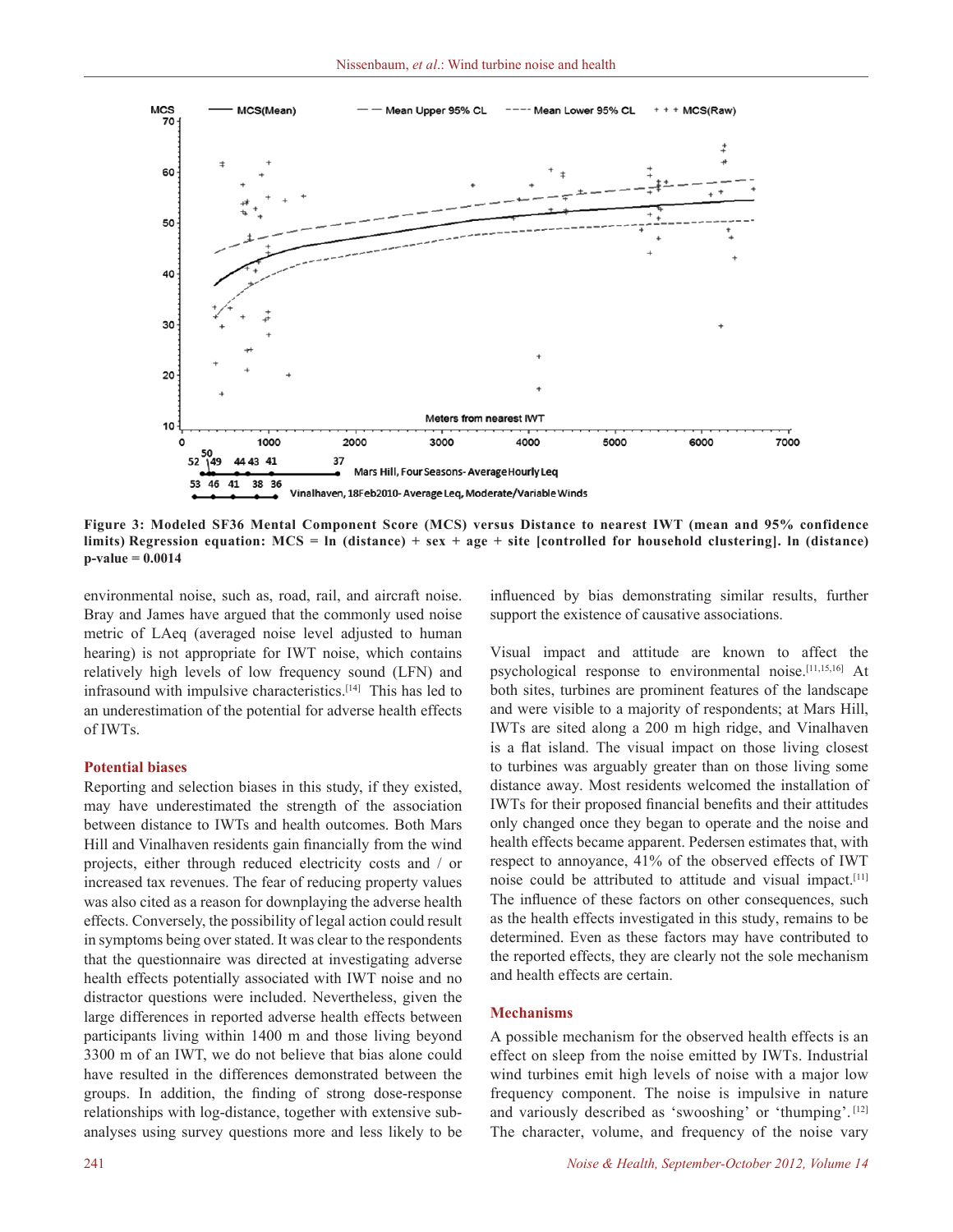

**Figure 3: Modeled SF36 Mental Component Score (MCS) versus Distance to nearest IWT (mean and 95% confidence limits) Regression equation: MCS = ln (distance) + sex + age + site [controlled for household clustering]. ln (distance) p-value = 0.0014**

environmental noise, such as, road, rail, and aircraft noise. Bray and James have argued that the commonly used noise metric of LAeq (averaged noise level adjusted to human hearing) is not appropriate for IWT noise, which contains relatively high levels of low frequency sound (LFN) and infrasound with impulsive characteristics.[14] This has led to an underestimation of the potential for adverse health effects of IWTs.

#### **Potential biases**

Reporting and selection biases in this study, if they existed, may have underestimated the strength of the association between distance to IWTs and health outcomes. Both Mars Hill and Vinalhaven residents gain financially from the wind projects, either through reduced electricity costs and / or increased tax revenues. The fear of reducing property values was also cited as a reason for downplaying the adverse health effects. Conversely, the possibility of legal action could result in symptoms being over stated. It was clear to the respondents that the questionnaire was directed at investigating adverse health effects potentially associated with IWT noise and no distractor questions were included. Nevertheless, given the large differences in reported adverse health effects between participants living within 1400 m and those living beyond 3300 m of an IWT, we do not believe that bias alone could have resulted in the differences demonstrated between the groups. In addition, the finding of strong dose-response relationships with log-distance, together with extensive subanalyses using survey questions more and less likely to be

influenced by bias demonstrating similar results, further support the existence of causative associations.

Visual impact and attitude are known to affect the psychological response to environmental noise.[11,15,16] At both sites, turbines are prominent features of the landscape and were visible to a majority of respondents; at Mars Hill, IWTs are sited along a 200 m high ridge, and Vinalhaven is a flat island. The visual impact on those living closest to turbines was arguably greater than on those living some distance away. Most residents welcomed the installation of IWTs for their proposed financial benefits and their attitudes only changed once they began to operate and the noise and health effects became apparent. Pedersen estimates that, with respect to annoyance, 41% of the observed effects of IWT noise could be attributed to attitude and visual impact.[11] The influence of these factors on other consequences, such as the health effects investigated in this study, remains to be determined. Even as these factors may have contributed to the reported effects, they are clearly not the sole mechanism and health effects are certain.

#### **Mechanisms**

A possible mechanism for the observed health effects is an effect on sleep from the noise emitted by IWTs. Industrial wind turbines emit high levels of noise with a major low frequency component. The noise is impulsive in nature and variously described as 'swooshing' or 'thumping'. [12] The character, volume, and frequency of the noise vary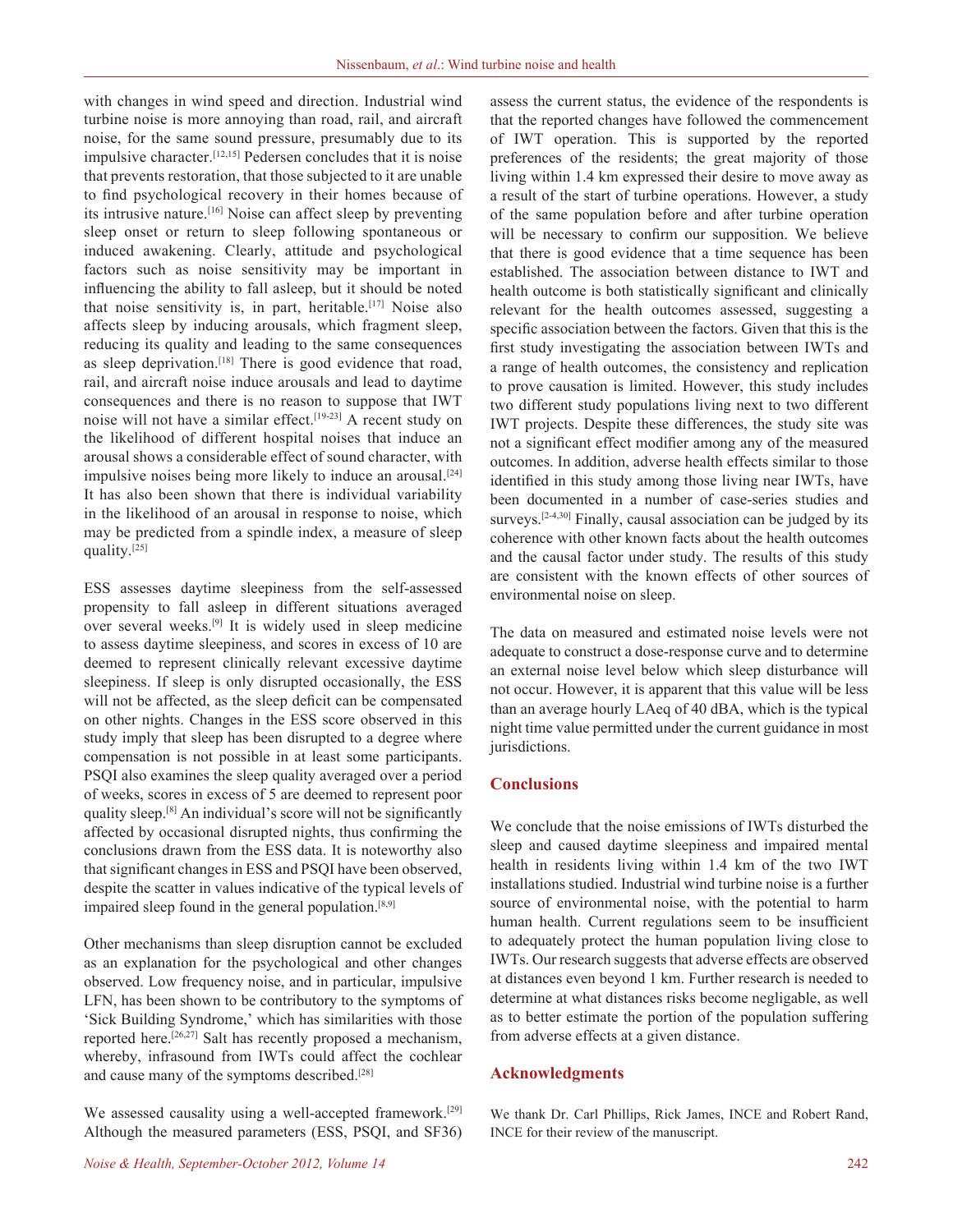with changes in wind speed and direction. Industrial wind turbine noise is more annoying than road, rail, and aircraft noise, for the same sound pressure, presumably due to its impulsive character.[12,15] Pedersen concludes that it is noise that prevents restoration, that those subjected to it are unable to find psychological recovery in their homes because of its intrusive nature.[16] Noise can affect sleep by preventing sleep onset or return to sleep following spontaneous or induced awakening. Clearly, attitude and psychological factors such as noise sensitivity may be important in influencing the ability to fall asleep, but it should be noted that noise sensitivity is, in part, heritable.[17] Noise also affects sleep by inducing arousals, which fragment sleep, reducing its quality and leading to the same consequences as sleep deprivation.<sup>[18]</sup> There is good evidence that road, rail, and aircraft noise induce arousals and lead to daytime consequences and there is no reason to suppose that IWT noise will not have a similar effect.<sup>[19-23]</sup> A recent study on the likelihood of different hospital noises that induce an arousal shows a considerable effect of sound character, with impulsive noises being more likely to induce an arousal.[24] It has also been shown that there is individual variability in the likelihood of an arousal in response to noise, which may be predicted from a spindle index, a measure of sleep quality.[25]

ESS assesses daytime sleepiness from the self-assessed propensity to fall asleep in different situations averaged over several weeks.[9] It is widely used in sleep medicine to assess daytime sleepiness, and scores in excess of 10 are deemed to represent clinically relevant excessive daytime sleepiness. If sleep is only disrupted occasionally, the ESS will not be affected, as the sleep deficit can be compensated on other nights. Changes in the ESS score observed in this study imply that sleep has been disrupted to a degree where compensation is not possible in at least some participants. PSQI also examines the sleep quality averaged over a period of weeks, scores in excess of 5 are deemed to represent poor quality sleep.[8] An individual's score will not be significantly affected by occasional disrupted nights, thus confirming the conclusions drawn from the ESS data. It is noteworthy also that significant changes in ESS and PSQI have been observed, despite the scatter in values indicative of the typical levels of impaired sleep found in the general population.<sup>[8,9]</sup>

Other mechanisms than sleep disruption cannot be excluded as an explanation for the psychological and other changes observed. Low frequency noise, and in particular, impulsive LFN, has been shown to be contributory to the symptoms of 'Sick Building Syndrome,' which has similarities with those reported here.[26,27] Salt has recently proposed a mechanism, whereby, infrasound from IWTs could affect the cochlear and cause many of the symptoms described.[28]

We assessed causality using a well-accepted framework.<sup>[29]</sup> Although the measured parameters (ESS, PSQI, and SF36) assess the current status, the evidence of the respondents is that the reported changes have followed the commencement of IWT operation. This is supported by the reported preferences of the residents; the great majority of those living within 1.4 km expressed their desire to move away as a result of the start of turbine operations. However, a study of the same population before and after turbine operation will be necessary to confirm our supposition. We believe that there is good evidence that a time sequence has been established. The association between distance to IWT and health outcome is both statistically significant and clinically relevant for the health outcomes assessed, suggesting a specific association between the factors. Given that this is the first study investigating the association between IWTs and a range of health outcomes, the consistency and replication to prove causation is limited. However, this study includes two different study populations living next to two different IWT projects. Despite these differences, the study site was not a significant effect modifier among any of the measured outcomes. In addition, adverse health effects similar to those identified in this study among those living near IWTs, have been documented in a number of case-series studies and surveys.<sup>[2-4,30]</sup> Finally, causal association can be judged by its coherence with other known facts about the health outcomes and the causal factor under study. The results of this study are consistent with the known effects of other sources of environmental noise on sleep.

The data on measured and estimated noise levels were not adequate to construct a dose-response curve and to determine an external noise level below which sleep disturbance will not occur. However, it is apparent that this value will be less than an average hourly LAeq of 40 dBA, which is the typical night time value permitted under the current guidance in most jurisdictions.

# **Conclusions**

We conclude that the noise emissions of IWTs disturbed the sleep and caused daytime sleepiness and impaired mental health in residents living within 1.4 km of the two IWT installations studied. Industrial wind turbine noise is a further source of environmental noise, with the potential to harm human health. Current regulations seem to be insufficient to adequately protect the human population living close to IWTs. Our research suggests that adverse effects are observed at distances even beyond 1 km. Further research is needed to determine at what distances risks become negligable, as well as to better estimate the portion of the population suffering from adverse effects at a given distance.

# **Acknowledgments**

We thank Dr. Carl Phillips, Rick James, INCE and Robert Rand, INCE for their review of the manuscript.